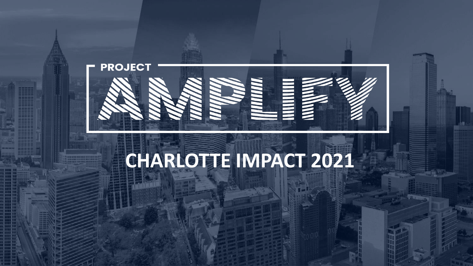

# **CHARLOTTE IMPACT 2021**

Copyright Copyright Copyright Copyright Copyright Copyright Copyright Copyright Copyright Copyright Copyright Copyright Copyright Copyright Copyright Copyright Copyright Copyright Copyright Copyright Copyright Copyright Co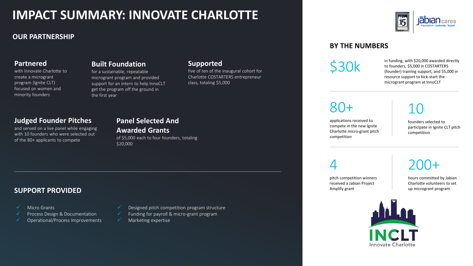### **IMPACT SUMMARY: INNOVATE CHARLOTTE**

#### **OUR PARTNERSHIP**

#### **Partnered**

with Innovate Charlotte to create a microgrant program (Ignite CLT) focused on women and minority founders

#### **Built Foundation**

for a sustainable, repeatable microgrant program and provided support for an intern to help InnoCLT get the program off the ground in the first year

#### **Supported**

five of ten of the inaugural cohort for Charlotte COSTARTERS entrepreneur class, totaling \$5,000

#### **Judged Founder Pitches**

and served on a live panel while engaging with 10 founders who were selected out of the 80+ applicants to compete

#### **Panel Selected And Awarded Grants**

of \$5,000 each to four founders, totaling \$20,000

#### **SUPPORT PROVIDED**

- Micro Grants
- Process Design & Documentation
- ✓ Operational/Process Improvements

#### Designed pitch competition program structure

- Funding for payroll & micro-grant program
- $\checkmark$  Marketing expertise

#### **BY THE NUMBERS**

S30k in funding, with \$20,000 awarded directly<br>to founders, \$5,000 in COSTARTERS<br>(founder) training support, and \$5,000 in to founders, \$5,000 in COSTARTERS resource support to kick-start the microgrant program at InnoCLT

80+

applications received to compete in the new Ignite Charlotte micro-grant pitch competition

### 10

founders selected to participate in Ignite CLT pitch competition

4

pitch competition winners received a Jabian Project Amplify grant

200+ hours committed by Jabian Charlotte volunteers to set

up microgrant program

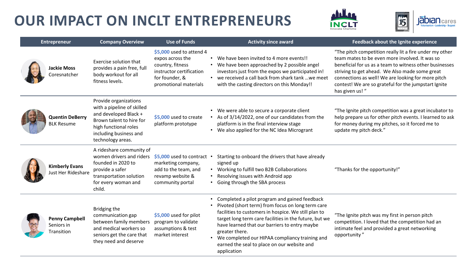



| <b>Entrepreneur</b> |                                                   | <b>Company Overview</b>                                                                                                                                                          | <b>Use of Funds</b>                                                                                                                     | <b>Activity since award</b>                                                                                                                                                                                                                                                                                                                                                                                                                    | Feedback about the Ignite experience                                                                                                                                                                                                                                                                                                                    |
|---------------------|---------------------------------------------------|----------------------------------------------------------------------------------------------------------------------------------------------------------------------------------|-----------------------------------------------------------------------------------------------------------------------------------------|------------------------------------------------------------------------------------------------------------------------------------------------------------------------------------------------------------------------------------------------------------------------------------------------------------------------------------------------------------------------------------------------------------------------------------------------|---------------------------------------------------------------------------------------------------------------------------------------------------------------------------------------------------------------------------------------------------------------------------------------------------------------------------------------------------------|
|                     | <b>Jackie Moss</b><br>Coresnatcher                | Exercise solution that<br>provides a pain free, full<br>body workout for all<br>fitness levels.                                                                                  | \$5,000 used to attend 4<br>expos across the<br>country, fitness<br>instructor certification<br>for founder, &<br>promotional materials | • We have been invited to 4 more events!!<br>We have been approached by 2 possible angel<br>investors just from the expos we participated in!<br>we received a call back from shark tank  we meet<br>$\bullet$<br>with the casting directors on this Monday!!                                                                                                                                                                                  | "The pitch competition really lit a fire under my other<br>team mates to be even more involved. It was so<br>beneficial for us as a team to witness other businesses<br>striving to get ahead. We Also made some great<br>connections as well! We are looking for more pitch<br>contest! We are so grateful for the jumpstart Ignite<br>has given us! " |
|                     | <b>Quentin DeBerry</b><br><b>BLK Resume</b>       | Provide organizations<br>with a pipeline of skilled<br>and developed Black +<br>Brown talent to hire for<br>high functional roles<br>including business and<br>technology areas. | \$5,000 used to create<br>platform prototype                                                                                            | We were able to secure a corporate client<br>As of 3/14/2022, one of our candidates from the<br>platform is in the final interview stage<br>• We also applied for the NC Idea Microgrant                                                                                                                                                                                                                                                       | "The Ignite pitch competition was a great incubator to<br>help prepare us for other pitch events. I learned to ask<br>for money during my pitches, so it forced me to<br>update my pitch deck."                                                                                                                                                         |
|                     | <b>Kimberly Evans</b><br>lust Her Rideshare       | A rideshare community of<br>women drivers and riders<br>founded in 2020 to<br>provide a safer<br>transportation solution<br>for every woman and<br>child.                        | \$5,000 used to contract .<br>marketing company,<br>add to the team, and<br>revamp website &<br>community portal                        | Starting to onboard the drivers that have already<br>signed up<br>Working to fulfill two B2B Collaborations<br>$\bullet$<br>Resolving issues with Android app<br>Going through the SBA process                                                                                                                                                                                                                                                 | "Thanks for the opportunity!"                                                                                                                                                                                                                                                                                                                           |
|                     | <b>Penny Campbell</b><br>Seniors in<br>Transition | Bridging the<br>communication gap<br>between family members<br>and medical workers so<br>seniors get the care that<br>they need and deserve                                      | \$5,000 used for pilot<br>program to validate<br>assumptions & test<br>market interest                                                  | Completed a pilot program and gained feedback<br>$\bullet$<br>Pivoted (short term) from focus on long term care<br>$\bullet$<br>facilities to customers in hospice. We still plan to<br>target long term care facilities in the future, but we<br>have learned that our barriers to entry maybe<br>greater there.<br>We completed our HIPAA compliancy training and<br>$\bullet$<br>earned the seal to place on our website and<br>application | "The Ignite pitch was my first in person pitch<br>competition. I loved that the competition had an<br>intimate feel and provided a great networking<br>opportunity"                                                                                                                                                                                     |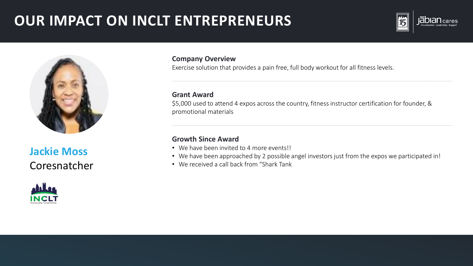



**Jackie Moss** Coresnatcher



#### **Company Overview**

Exercise solution that provides a pain free, full body workout for all fitness levels.

#### **Grant Award**

\$5,000 used to attend 4 expos across the country, fitness instructor certification for founder, & promotional materials

- We have been invited to 4 more events!!
- We have been approached by 2 possible angel investors just from the expos we participated in!
- We received a call back from "Shark Tank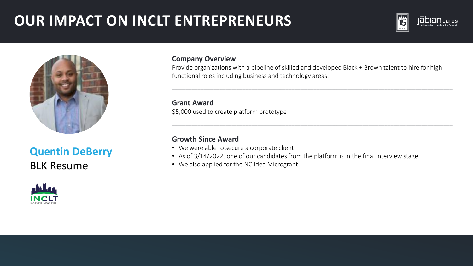



### **Quentin DeBerry** BLK Resume



#### **Company Overview**

Provide organizations with a pipeline of skilled and developed Black + Brown talent to hire for high functional roles including business and technology areas.

**Grant Award** \$5,000 used to create platform prototype

- We were able to secure a corporate client
- As of 3/14/2022, one of our candidates from the platform is in the final interview stage
- We also applied for the NC Idea Microgrant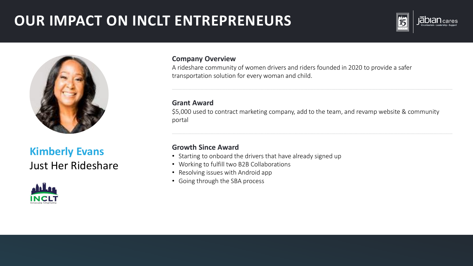



**Kimberly Evans** Just Her Rideshare



#### **Company Overview**

A rideshare community of women drivers and riders founded in 2020 to provide a safer transportation solution for every woman and child.

**Grant Award**

\$5,000 used to contract marketing company, add to the team, and revamp website & community portal

- Starting to onboard the drivers that have already signed up
- Working to fulfill two B2B Collaborations
- Resolving issues with Android app
- Going through the SBA process